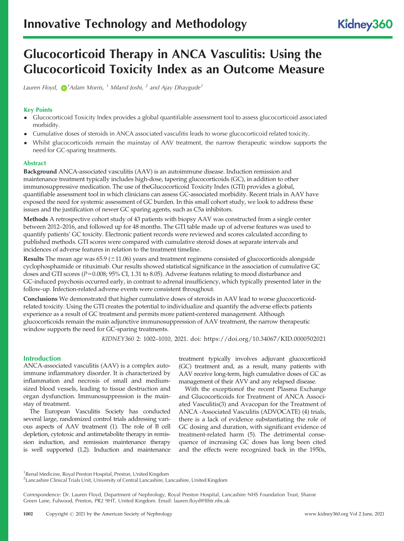# Glucocorticoid Therapy in ANCA Vasculitis: Using the Glucocorticoid Toxicity Index as an Outcome Measure

Lauren Floyd,  $\bigcirc^{1}$ Adam Morris,  $^{1}$  Miland Joshi,  $^{2}$  and Ajay Dhaygude $^{1}$ 

# Key Points

- Glucocorticoid Toxicity Index provides a global quantifiable assessment tool to assess glucocorticoid associated morbidity.
- Cumulative doses of steroids in ANCA associated vasculitis leads to worse glucocorticoid related toxicity.
- Whilst glucocorticoids remain the mainstay of AAV treatment, the narrow therapeutic window supports the need for GC-sparing treatments.

# Abstract

Background ANCA-associated vasculitis (AAV) is an autoimmune disease. Induction remission and maintenance treatment typically includes high-dose, tapering glucocorticoids (GC), in addition to other immunosuppressive medication. The use of theGlucocorticoid Toxicity Index (GTI) provides a global, quantifiable assessment tool in which clinicians can assess GC-associated morbidity. Recent trials in AAV have exposed the need for systemic assessment of GC burden. In this small cohort study, we look to address these issues and the justification of newer GC sparing agents, such as C5a inhibitors.

Methods A retrospective cohort study of 43 patients with biopsy AAV was constructed from a single center between 2012–2016, and followed up for 48 months. The GTI table made up of adverse features was used to quantify patients' GC toxicity. Electronic patient records were reviewed and scores calculated according to published methods. GTI scores were compared with cumulative steroid doses at separate intervals and incidences of adverse features in relation to the treatment timeline.

Results The mean age was  $65.9 \pm 11.06$ ) years and treatment regimens consisted of glucocorticoids alongside cyclophosphamide or rituximab. Our results showed statistical significance in the association of cumulative GC doses and GTI scores ( $P=0.008$ ; 95% CI, 1.31 to 8.05). Adverse features relating to mood disturbance and GC-induced psychosis occurred early, in contrast to adrenal insufficiency, which typically presented later in the follow-up. Infection-related adverse events were consistent throughout.

Conclusions We demonstrated that higher cumulative doses of steroids in AAV lead to worse glucocorticoidrelated toxicity. Using the GTI creates the potential to individualize and quantify the adverse effects patients experience as a result of GC treatment and permits more patient-centered management. Although glucocorticoids remain the main adjunctive immunosuppression of AAV treatment, the narrow therapeutic window supports the need for GC-sparing treatments.

KIDNEY360 2: 1002–1010, 2021. doi: <https://doi.org/10.34067/KID.0000502021>

# **Introduction**

ANCA-associated vasculitis (AAV) is a complex autoimmune inflammatory disorder. It is characterized by inflammation and necrosis of small and mediumsized blood vessels, leading to tissue destruction and organ dysfunction. Immunosuppression is the mainstay of treatment.

The European Vasculitis Society has conducted several large, randomized control [t](#page-7-0)rials addressing various aspects of AAV treatment (1). The role of B cell depletion, cytotoxic and antimetabolite therapy in remission induction, and [re](#page-7-0)mission maintenance therapy is well supported (1,2). Induction and maintenance

treatment typically involves adjuvant glucocorticoid (GC) treatment and, as a result, many patients with AAV receive long-term, high cumulative doses of GC as management of their AVV and any relapsed disease.

With the exceptionof the recent Plasma Exchange and Glucocorti[co](#page-7-0)ids for Treatment of ANCA Associated Vasculitis(3) and Avacopan for the Trea[tm](#page-7-0)ent of ANCA -Associated Vasculitis (ADVOCATE) (4) trials, there is a lack of evidence substantiating the role of GC dosing and duration, [w](#page-7-0)ith significant evidence of treatment-related harm (5). The detrimental consequence of increasing GC doses has long been cited and the effects were recognized back in the 1950s,

<sup>1</sup> Renal Medicine, Royal Preston Hospital, Preston, United Kingdom

<sup>2</sup> Lancashire Clinical Trials Unit, University of Central Lancashire, Lancashire, United Kingdom

Correspondence: Dr. Lauren Floyd, Department of Nephrology, Ro[yal Preston Hospital, Lan](mailto:lauren.floyd@lthtr.nhs.uk)cashire NHS Foundation Trust, Sharoe Green Lane, Fulwood, Preston, PR2 9HT, United Kingdom. Email: lauren.floyd@lthtr.nhs.uk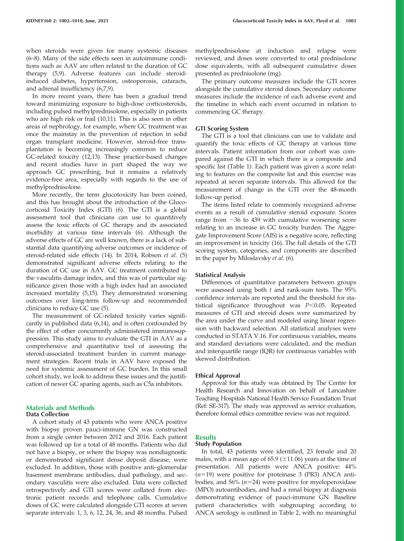[whe](#page-7-0)n steroids were given for many systemic diseases (6–8). Many of the side effects seen in autoimmune conditions such [as](#page-7-0) AAV are often related to the duration of GC therapy (5,9). Adverse features can include steroidinduced diabetes, hyper[tensio](#page-7-0)n, osteoporosis, cataracts, and adrenal insufficiency (6,7,9).

In more recent years, there has been a gradual trend toward minimizing exposure to high-dose corticosteroids, including pulsed methylpr[edniso](#page-7-0)lone, especially in patients who are high risk or frail (10,11). This is also seen in other areas of nephrology, for example, where GC treatment was once the mainstay in the prevention of rejection in solid organ transplant medicine. However, steroid-free transplantation is becom[ing in](#page-7-0)creasingly common to reduce GC-related toxicity (12,13). These practice-based changes and recent studies have in part shaped the way we approach GC prescribing, but it remains a relatively evidence-free area, especially with regards to the use of methylprednisolone.

More recently, the term glucotoxicity has been coined, and this has brought about the i[nt](#page-7-0)roduction of the Glucocorticoid Toxicity Index (GTI) (6). The GTI is a global assessment tool that clinicians can use to quantitively assess the toxic effects of GC therapy [an](#page-7-0)d its associated morbidity at various time intervals (6). Although the adverse effects of GC are well known, there is a lack of substantial data quantifying ad[ver](#page-7-0)se outcomes or incidence [o](#page-7-0)f steroid-related side effects (14). In 2014, Robson et al. (5) demonstrated significant adverse effects relating to the duration of GC use in AAV. GC treatment contributed to the vasculitis damage index, and this was of particular significance given those [with](#page-7-0) a high index had an associated increased mortality (5,15). They demonstrated worsening outcomes over long-term [fo](#page-7-0)llow-up and recommended clinicians to reduce GC use (5).

The measurement of [GC-r](#page-7-0)elated toxicity varies significantly in published data (6,14), and is often confounded by the effect of other concurrently administered immunosuppression. This study aims to evaluate the GTI in AAV as a comprehensive and quantitative tool of assessing the steroid-associated treatment burden in current management strategies. Recent trials in AAV have exposed the need for systemic assessment of GC burden. In this small cohort study, we look to address these issues and the justification of newer GC sparing agents, such as C5a inhibitors.

# Materials and Methods

## Data Collection

A cohort study of 43 patients who were ANCA positive with biopsy proven pauci-immune GN was constructed from a single center between 2012 and 2016. Each patient was followed up for a total of 48 months. Patients who did not have a biopsy, or where the biopsy was nondiagnostic or demonstrated significant dense deposit disease, were excluded. In addition, those with positive anti–glomerular basement membrane antibodies, dual pathology, and secondary vasculitis were also excluded. Data were collected retrospectively and GTI scores were collated from electronic patient records and telephone calls. Cumulative doses of GC were calculated alongside GTI scores at seven separate intervals: 1, 3, 6, 12, 24, 36, and 48 months. Pulsed

methylprednisolone at induction and relapse were reviewed, and doses were converted to oral prednisolone dose equivalents, with all subsequent cumulative doses presented as prednisolone (mg).

The primary outcome measures include the GTI scores alongside the cumulative steroid doses. Secondary outcome measures include the incidence of each adverse event and the timeline in which each event occurred in relation to commencing GC therapy.

#### GTI Scoring System

The GTI is a tool that clinicians can use to validate and quantify the toxic effects of GC therapy at various time intervals. Patient information from our cohort was compared again[st the G](#page-2-0)TI in which there is a composite and specific list (Table 1). Each patient was given a score relating to features on the composite list and this exercise was repeated at seven separate intervals. This allowed for the measurement of change in the GTI over the 48-month follow-up period.

The items listed relate to commonly recognized adverse events as a result of cumulative steroid exposure. Scores range from  $-36$  to 439 with cumulative worsening score relating to an increase in GC toxicity burden. The Aggregate Improvement Score (AI[S\) i](#page-7-0)s a negative score, reflecting an improvement in toxicity (16). The full details of the GTI scoring system, categories, and c[om](#page-7-0)ponents are described in the paper by Miloslavsky et al. (6).

## Statistical Analysis

Differences of quantitative parameters between groups were assessed using both  $t$  and rank-sum tests. The  $95\%$ confidence intervals are reported and the threshold for statistical significance throughout was  $P<0.05$ . Repeated measures of GTI and steroid doses were summarized by the area under the curve and modeled using linear regression with backward selection. All statistical analyses were conducted in STATA V.16. For continuous variables, means and standard deviations were calculated, and the median and interquartile range (IQR) for continuous variables with skewed distribution.

#### Ethical Approval

Approval for this study was obtained by The Centre for Health Research and Innovation on behalf of Lancashire Teaching Hospitals National Health Service Foundation Trust (Ref: SE-317). The study was approved as service evaluation, therefore formal ethics committee review was not required.

# **Results**

## Study Population

In total, 43 patients were identified, 23 female and 20 males, with a mean age of 65.9 ( $\pm$ 11.06) years at the time of presentation. All patients were ANCA positive: 44%  $(n=19)$  were positive for proteinase 3 (PR3) ANCA antibodies, and 56%  $(n=24)$  were positive for myeloperoxidase (MPO) autoantibodies, and had a renal biopsy at diagnosis demonstrating evidence of pauci-immune GN. Baseline patient characteristics with [subgrou](#page-3-0)ping according to ANCA serology is outlined in Table 2, with no meaningful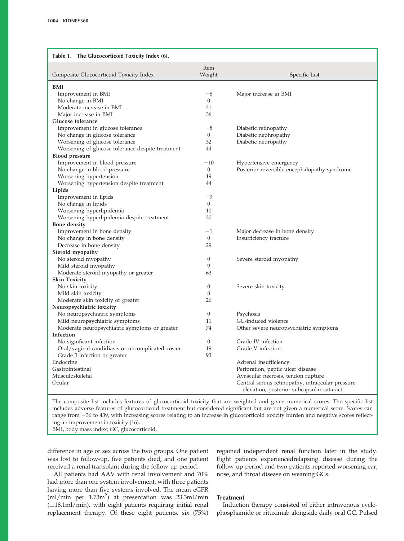<span id="page-2-0"></span>

| Table 1. The Glucocorticoid Toxicity Index (6).  |                  |                                                  |  |  |  |
|--------------------------------------------------|------------------|--------------------------------------------------|--|--|--|
| Composite Glucocorticoid Toxicity Index          | Item<br>Weight   | Specific List                                    |  |  |  |
| <b>BMI</b>                                       |                  |                                                  |  |  |  |
| Improvement in BMI                               | $-8$             | Major increase in BMI                            |  |  |  |
| No change in BMI                                 | $\mathbf{0}$     |                                                  |  |  |  |
| Moderate increase in BMI                         | 21               |                                                  |  |  |  |
| Major increase in BMI                            | 36               |                                                  |  |  |  |
| Glucose tolerance                                |                  |                                                  |  |  |  |
| Improvement in glucose tolerance                 | $-8$             | Diabetic retinopathy                             |  |  |  |
| No change in glucose tolerance                   | $\mathbf{0}$     | Diabetic nephropathy                             |  |  |  |
| Worsening of glucose tolerance                   | 32               | Diabetic neuropathy                              |  |  |  |
| Worsening of glucose tolerance despite treatment | 44               |                                                  |  |  |  |
| <b>Blood</b> pressure                            |                  |                                                  |  |  |  |
| Improvement in blood pressure                    | $-10$            | Hypertensive emergency                           |  |  |  |
| No change in blood pressure                      | $\mathbf{0}$     | Posterior reversible encephalopathy syndrome     |  |  |  |
| Worsening hypertension                           | 19               |                                                  |  |  |  |
| Worsening hypertension despite treatment         | 44               |                                                  |  |  |  |
| Lipids                                           |                  |                                                  |  |  |  |
| Improvement in lipids                            | -9               |                                                  |  |  |  |
| No change in lipids                              | $\mathbf{0}$     |                                                  |  |  |  |
| Worsening hyperlipidemia                         | 10               |                                                  |  |  |  |
| Worsening hyperlipidemia despite treatment       | 30               |                                                  |  |  |  |
| <b>Bone</b> density                              |                  |                                                  |  |  |  |
| Improvement in bone density                      | $-1$             | Major decrease in bone density                   |  |  |  |
| No change in bone density                        | $\theta$         | Insufficiency fracture                           |  |  |  |
| Decrease in bone density                         | 29               |                                                  |  |  |  |
| Steroid myopathy                                 |                  |                                                  |  |  |  |
| No steroid myopathy                              | $\theta$         | Severe steroid myopathy                          |  |  |  |
| Mild steroid myopathy                            | $\mathbf{Q}$     |                                                  |  |  |  |
| Moderate steroid myopathy or greater             | 63               |                                                  |  |  |  |
| <b>Skin Toxicity</b>                             |                  |                                                  |  |  |  |
| No skin toxicity                                 | $\theta$         | Severe skin toxicity                             |  |  |  |
| Mild skin toxicity                               | 8                |                                                  |  |  |  |
| Moderate skin toxicity or greater                | 26               |                                                  |  |  |  |
| Neuropsychiatric toxicity                        |                  |                                                  |  |  |  |
| No neuropsychiatric symptoms                     | $\boldsymbol{0}$ | Psychosis                                        |  |  |  |
| Mild neuropsychiatric symptoms                   | 11               | GC-induced violence                              |  |  |  |
| Moderate neuropsychiatric symptoms or greater    | 74               | Other severe neuropsychiatric symptoms           |  |  |  |
| Infection                                        |                  |                                                  |  |  |  |
| No significant infection                         | $\theta$         | Grade IV infection                               |  |  |  |
| Oral/vaginal candidiasis or uncomplicated zoster | 19               | Grade V infection                                |  |  |  |
| Grade 3 infection or greater                     | 93               |                                                  |  |  |  |
| Endocrine                                        |                  | Adrenal insufficiency                            |  |  |  |
| Gastrointestinal                                 |                  | Perforation, peptic ulcer disease                |  |  |  |
| Musculoskeletal                                  |                  | Avascular necrosis, tendon rupture               |  |  |  |
| Ocular                                           |                  | Central serous retinopathy, intraocular pressure |  |  |  |
|                                                  |                  | elevation, posterior subcapsular cataract.       |  |  |  |
|                                                  |                  |                                                  |  |  |  |

The composite list includes features of glucocorticoid toxicity that are weighted and given numerical scores. The specific list includes adverse features of glucocorticoid treatment but considered significant but are not given a numerical score. Scores can range from -36 to 439, with inc[rea](#page-7-0)sing scores relating to an increase in glucocorticoid toxicity burden and negative scores reflecting an improvement in toxicity (16).

BMI, body mass index; GC, glucocorticoid.

difference in age or sex across the two groups. One patient was lost to follow-up, five patients died, and one patient received a renal transplant during the follow-up period.

regained independent renal function later in the study. Eight patients experiencedrelapsing disease during the follow-up period and two patients reported worsening ear, nose, and throat disease on weaning GCs.

All patients had AAV with renal involvement and 70% had more than one system involvement, with three patients having more than five systems involved. The mean eGFR (ml/min per 1.73m<sup>2</sup>) at presentation was 23.3ml/min  $(\pm 18.1 \text{ml/min})$ , with eight patients requiring initial renal replacement therapy. Of these eight patients, six (75%)

# Treatment

Induction therapy consisted of either intravenous cyclophosphamide or rituximab alongside daily oral GC. Pulsed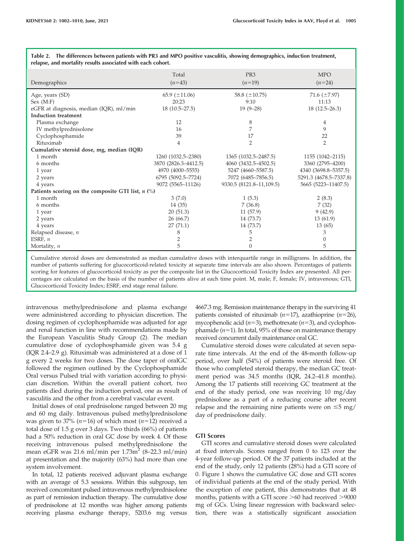| relapse, and mortality results associated with each cohort. |                      |                          |                        |  |  |
|-------------------------------------------------------------|----------------------|--------------------------|------------------------|--|--|
|                                                             | Total                | PR <sub>3</sub>          | <b>MPO</b>             |  |  |
| Demographics                                                | $(n=43)$             | $(n=19)$                 | $(n=24)$               |  |  |
| Age, years (SD)                                             | 65.9 $(\pm 11.06)$   | 58.8 $(\pm 10.75)$       | 71.6 $(\pm 7.97)$      |  |  |
| Sex (M:F)                                                   | 20:23                | 9:10                     | 11:13                  |  |  |
| eGFR at diagnosis, median (IQR), ml/min                     | $18(10.5 - 27.5)$    | $19(9-28)$               | $18(12.5-26.3)$        |  |  |
| Induction treatment                                         |                      |                          |                        |  |  |
| Plasma exchange                                             | 12                   | 8                        | 4                      |  |  |
| IV methylprednisolone                                       | 16                   | 7                        | 9                      |  |  |
| Cyclophosphamide                                            | 39                   | 17                       | 22                     |  |  |
| Rituximab                                                   | 4                    | $\overline{2}$           | $\overline{2}$         |  |  |
| Cumulative steroid dose, mg, median (IQR)                   |                      |                          |                        |  |  |
| 1 month                                                     | 1260 (1032.5–2380)   | 1365 (1032.5–2487.5)     | 1155 (1042-2115)       |  |  |
| 6 months                                                    | 3870 (2826.3-4412.5) | 4060 (3432.5-4502.5)     | 3360 (2795-4200)       |  |  |
| 1 year                                                      | 4970 (4000-5555)     | 5247 (4660-5587.5)       | 4340 (3698.8–5357.5)   |  |  |
| 2 years                                                     | 6795 (5092.5-7724)   | 7072 (6485-7856.5)       | 5291.3 (4678.5-7337.8) |  |  |
| 4 years                                                     | 9072 (5565-11126)    | 9330.5 (8121.8-11,109.5) | 5665 (5223-11407.5)    |  |  |
| Patients scoring on the composite GTI list, $n$ (%)         |                      |                          |                        |  |  |
| 1 month                                                     | 3(7.0)               | 1(5.3)                   | 2(8.3)                 |  |  |
| 6 months                                                    | 14 (35)              | 7(36.8)                  | 7(32)                  |  |  |
| 1 year                                                      | 20(51.3)             | 11(57.9)                 | 9(42.9)                |  |  |
| 2 years                                                     | 26 (66.7)            | 14 (73.7)                | 13(61.9)               |  |  |
| 4 years                                                     | 27(71.1)             | 14 (73.7)                | 13(65)                 |  |  |
| Relapsed disease, n                                         | 8                    | 5                        | 3                      |  |  |
| ESRF, $n$                                                   | $\overline{2}$       | 2                        | $\theta$               |  |  |
| Mortality, $n$                                              | 5                    | $\theta$                 | 5                      |  |  |

<span id="page-3-0"></span>Table 2. The differences between patients with PR3 and MPO positive vasculitis, showing demographics, induction treatment,

Cumulative steroid doses are demonstrated as median cumulative doses with interquartile range in milligrams. In addition, the number of patients suffering for glucocorticoid-related toxicity at separate time intervals are also shown. Percentages of patients scoring for features of glucocorticoid toxicity as per the composite list in the Glucocorticoid Toxicity Index are presented. All percentages are calculated on the basis of the number of patients alive at each time point. M, male; F, female; IV, intravenous; GTI, Glucocorticoid Toxicity Index; ESRF, end stage renal failure.

intravenous methylprednisolone and plasma exchange were administered according to physician discretion. The dosing regimen of cyclophosphamide was adjusted for age and renal function in line with recommen[da](#page-7-0)tions made by the European Vasculitis Study Group (2). The median cumulative dose of cyclophosphamide given was 5.4 g (IQR 2.4–2.9 g). Rituximab was administered at a dose of 1 g every 2 weeks for two doses. The dose taper of oralGC followed the regimen outlined by the Cyclophosphamide Oral versus Pulsed trial with variation according to physician discretion. Within the overall patient cohort, two patients died during the induction period, one as result of vasculitis and the other from a cerebral vascular event.

Initial doses of oral prednisolone ranged between 20 mg and 60 mg daily. Intravenous pulsed methylprednisolone was given to 37% ( $n=16$ ) of which most ( $n=12$ ) received a total dose of 1.5 g over 3 days. Two thirds (66%) of patients had a 50% reduction in oral GC dose by week 4. Of those receiving intravenous pulsed methylprednisolone the mean eGFR was  $21.6$  ml/min per  $1.73$ m<sup>2</sup> (8–22.3 ml/min) at presentation and the majority (63%) had more than one system involvement.

In total, 12 patients received adjuvant plasma exchange with an average of 5.3 sessions. Within this subgroup, ten received concomitant pulsed intravenous methylprednisolone as part of remission induction therapy. The cumulative dose of prednisolone at 12 months was higher among patients receiving plasma exchange therapy, 5203.6 mg versus 4667.3 mg. Remission maintenance therapy in the surviving 41 patients consisted of rituximab ( $n=17$ ), azathioprine ( $n=26$ ), mycophenolic acid ( $n=3$ ), methotrexate ( $n=3$ ), and cyclophosphamide ( $n=1$ ). In total, 95% of those on maintenance therapy received concurrent daily maintenance oral GC.

Cumulative steroid doses were calculated at seven separate time intervals. At the end of the 48-month follow-up period, over half (54%) of patients were steroid free. Of those who completed steroid therapy, the median GC treatment period was 34.5 months (IQR, 24.2–41.8 months). Among the 17 patients still receiving GC treatment at the end of the study period, one was receiving 10 mg/day prednisolone as a part of a reducing course after recent relapse and the remaining nine patients were on  $\leq$ 5 mg/ day of prednisolone daily.

# GTI Scores

GTI scores and cumulative steroid doses were calculated at fixed intervals. Scores ranged from 0 to 123 over the 4-year follow-up period. Of the 37 patients included at the en[d of the](#page-4-0) study, only 12 patients (28%) had a GTI score of 0. Figure 1 shows the cumulative GC dose and GTI scores of individual patients at the end of the study period. With the exception of one patient, this demonstrates that at 48 months, patients with a GTI score  $>60$  had received  $>9000$ mg of GCs. Using linear regression with backward selection, there was a statistically significant association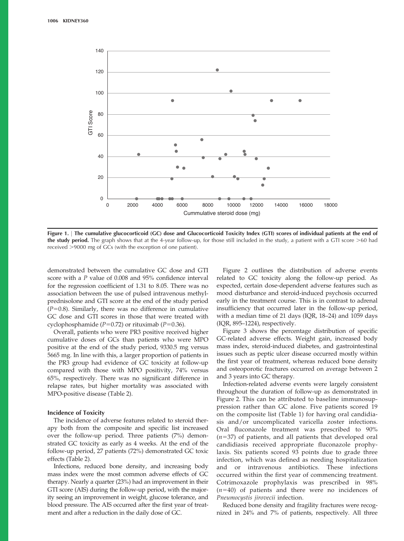<span id="page-4-0"></span>

Figure 1. <sup>|</sup> The cumulative glucocorticoid (GC) dose and Glucocorticoid Toxicity Index (GTI) scores of individual patients at the end of the study period. The graph shows that at the 4-year follow-up, for those still included in the study, a patient with a GTI score >60 had received >9000 mg of GCs (with the exception of one patient).

demonstrated between the cumulative GC dose and GTI score with a P value of 0.008 and 95% confidence interval for the regression coefficient of 1.31 to 8.05. There was no association between the use of pulsed intravenous methylprednisolone and GTI score at the end of the study period  $(P=0.8)$ . Similarly, there was no difference in cumulative GC dose and GTI scores in those that were treated with cyclophosphamide ( $P=0.72$ ) or rituximab ( $P=0.36$ ).

Overall, patients who were PR3 positive received higher cumulative doses of GCs than patients who were MPO positive at the end of the study period, 9330.5 mg versus 5665 mg. In line with this, a larger proportion of patients in the PR3 group had evidence of GC toxicity at follow-up compared with those with MPO positivity, 74% versus 65%, respectively. There was no significant difference in relapse rates, but hig[her mo](#page-3-0)rtality was associated with MPO-positive disease (Table 2).

#### Incidence of Toxicity

The incidence of adverse features related to steroid therapy both from the composite and specific list increased over the follow-up period. Three patients (7%) demonstrated GC toxicity as early as 4 weeks. At the end of the follow-[up perio](#page-3-0)d, 27 patients (72%) demonstrated GC toxic effects (Table 2).

Infections, reduced bone density, and increasing body mass index were the most common adverse effects of GC therapy. Nearly a quarter (23%) had an improvement in their GTI score (AIS) during the follow-up period, with the majority seeing an improvement in weight, glucose tolerance, and blood pressure. The AIS occurred after the first year of treatment and after a reduction in the daily dose of GC.

[Figure](#page-5-0) [2](#page-5-0) outlines the distribution of adverse events related to GC toxicity along the follow-up period. As expected, certain dose-dependent adverse features such as mood disturbance and steroid-induced psychosis occurred early in the treatment course. This is in contrast to adrenal insufficiency that occurred later in the follow-up period, with a median time of 21 days (IQR, 18–24) and 1059 days (I[QR, 895](#page-5-0)–1224), respectively.

Figure 3 shows the percentage distribution of specific GC-related adverse effects. Weight gain, increased body mass index, steroid-induced diabetes, and gastrointestinal issues such as peptic ulcer disease occurred mostly within the first year of treatment, whereas reduced bone density and osteoporotic fractures occurred on average between 2 and 3 years into GC therapy.

Infection-related adverse events were largely consistent [througho](#page-5-0)ut the duration of follow-up as demonstrated in Figure 2. This can be attributed to baseline immunosuppression rather than [GC alon](#page-2-0)e. Five patients scored 19 on the composite list (Table 1) for having oral candidiasis and/or uncomplicated varicella zoster infections. Oral fluconazole treatment was prescribed to 90%  $(n=37)$  of patients, and all patients that developed oral candidiasis received appropriate fluconazole prophylaxis. Six patients scored 93 points due to grade three infection, which was defined as needing hospitalization and or intravenous antibiotics. These infections occurred within the first year of commencing treatment. Cotrimoxazole prophylaxis was prescribed in 98%  $(n=40)$  of patients and there were no incidences of Pneumocystis jirovecii infection.

Reduced bone density and fragility fractures were recognized in 24% and 7% of patients, respectively. All three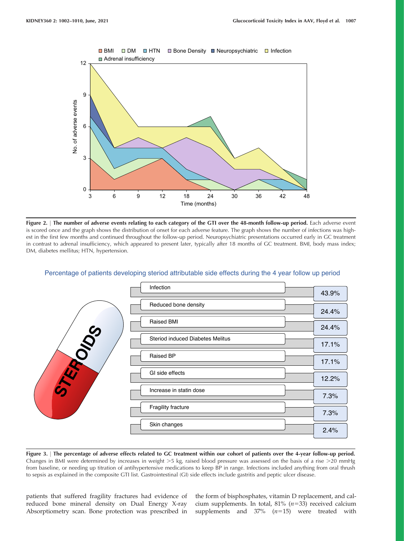<span id="page-5-0"></span>

Figure 2. <sup>|</sup> The number of adverse events relating to each category of the GTI over the 48-month follow-up period. Each adverse event is scored once and the graph shows the distribution of onset for each adverse feature. The graph shows the number of infections was highest in the first few months and continued throughout the follow-up period. Neuropsychiatric presentations occurred early in GC treatment in contrast to adrenal insufficiency, which appeared to present later, typically after 18 months of GC treatment. BMI, body mass index; DM, diabetes mellitus; HTN, hypertension.

| Infection                                      |       |
|------------------------------------------------|-------|
|                                                | 43.9% |
| Reduced bone density                           | 24.4% |
| <b>Raised BMI</b>                              | 24.4% |
| <b>VOS</b><br>Steriod induced Diabetes Melitus | 17.1% |
| <b>Raised BP</b>                               | 17.1% |
| <b>RAS</b><br>GI side effects                  | 12.2% |
| Increase in statin dose                        | 7.3%  |
| Fragility fracture                             | 7.3%  |
| Skin changes                                   | 2.4%  |

# Percentage of patients developing steriod attributable side effects during the 4 year follow up period

Figure 3. <sup>|</sup> The percentage of adverse effects related to GC treatment within our cohort of patients over the 4-year follow-up period. Changes in BMI were determined by increases in weight  $>5$  kg, raised blood pressure was assessed on the basis of a rise  $>20$  mmHg from baseline, or needing up titration of antihypertensive medications to keep BP in range. Infections included anything from oral thrush to sepsis as explained in the composite GTI list. Gastrointestinal (GI) side effects include gastritis and peptic ulcer disease.

patients that suffered fragility fractures had evidence of reduced bone mineral density on Dual Energy X-ray Absorptiometry scan. Bone protection was prescribed in the form of bisphosphates, vitamin D replacement, and calcium supplements. In total, 81%  $(n=33)$  received calcium supplements and  $37\%$   $(n=15)$  were treated with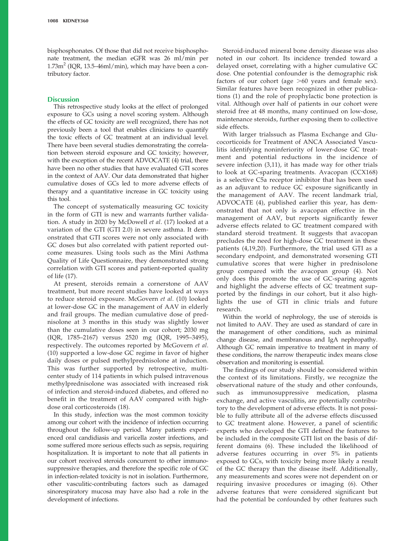bisphosphonates. Of those that did not receive bisphosphonate treatment, the median eGFR was 26 ml/min per  $1.73m<sup>2</sup>$  (IQR, 13.5–46ml/min), which may have been a contributory factor.

### **Discussion**

This retrospective study looks at the effect of prolonged exposure to GCs using a novel scoring system. Although the effects of GC toxicity are well recognized, there has not previously been a tool that enables clinicians to quantify the toxic effects of GC treatment at an individual level. There have been several studies demonstrating the correlation between steroid exposure and GC toxici[ty](#page-7-0); however, with the exception of the recent ADVOCATE (4) trial, there have been no other studies that have evaluated GTI scores in the context of AAV. Our data demonstrated that higher cumulative doses of GCs led to more adverse effects of therapy and a quantitative increase in GC toxicity using this tool.

The concept of systematically measuring GC toxicity in the form of GTI is new and warrants [fur](#page-8-0)ther validation. A study in 2020 by McDowell et al. (17) looked at a variation of the GTI (GTI 2.0) in severe asthma. It demonstrated that GTI scores were not only associated with GC doses but also correlated with patient reported outcome measures. Using tools such as the Mini Asthma Quality of Life Questionnaire, they demonstrated strong correla[tio](#page-8-0)n with GTI scores and patient-reported quality of life (17).

At present, steroids remain a cornerstone of AAV treatment, but more recent studies have look[ed](#page-7-0) at ways to reduce steroid exposure. McGovern et al. (10) looked at lower-dose GC in the management of AAV in elderly and frail groups. The median cumulative dose of prednisolone at 3 months in this study was slightly lower than the cumulative doses seen in our cohort; 2030 mg (IQR, 1785–2167) versus 2520 mg (IQR, 1995–3495), [resp](#page-7-0)ectively. The outcomes reported by McGovern et al. (10) supported a low-dose GC regime in favor of higher daily doses or pulsed methylprednisolone at induction. This was further supported by retrospective, multicenter study of 114 patients in which pulsed intravenous methylprednisolone was associated with increased risk of infection and steroid-induced diabetes, and offered no benefit in the treatment [of](#page-8-0) AAV compared with highdose oral corticosteroids (18).

In this study, infection was the most common toxicity among our cohort with the incidence of infection occurring throughout the follow-up period. Many patients experienced oral candidiasis and varicella zoster infections, and some suffered more serious effects such as sepsis, requiring hospitalization. It is important to note that all patients in our cohort received steroids concurrent to other immunosuppressive therapies, and therefore the specific role of GC in infection-related toxicity is not in isolation. Furthermore, other vasculitic-contributing factors such as damaged sinorespiratory mucosa may have also had a role in the development of infections.

Steroid-induced mineral bone density disease was also noted in our cohort. Its incidence trended toward a delayed onset, correlating with a higher cumulative GC dose. One potential confounder is the demographic risk factors of our cohort (age  $>60$  years and female sex). Simila[r](#page-7-0) features have been recognized in other publications (1) and the role of prophylactic bone protection is vital. Although over half of patients in our cohort were steroid free at 48 months, many continued on low-dose, maintenance steroids, further exposing them to collective side effects.

With larger trialssuch as Plasma Exchange and Glucocorticoids for Treatment of ANCA Associated Vasculitis identifying noninferiority of lower-dose GC treatment and pote[ntial](#page-7-0) reductions in the incidence of severe infection (3,11), it has made way for other trials to look at GC-sparing treatments. Avacopan (CCX168) is a selective C5a receptor inhibitor that has been used as an adjuvant to reduce GC exposure significantly in the managem[en](#page-7-0)t of AAV. The recent landmark trial, ADVOCATE (4), published earlier this year, has demonstrated that not only is avacopan effective in the management of AAV, but reports significantly fewer adverse effects related to GC treatment compared with standard steroid treatment. It suggests that avacopan precludes [t](#page-7-0)[he ne](#page-8-0)ed for high-dose GC treatment in these patients (4,19,20). Furthermore, the trial used GTI as a secondary endpoint, and demonstrated worsening GTI cumulative scores that were higher in pred[ni](#page-7-0)solone group compared with the avacopan group (4). Not only does this promote the use of GC-sparing agents and highlight the adverse effects of GC treatment supported by the findings in our cohort, but it also highlights the use of GTI in clinic trials and future research.

Within the world of nephrology, the use of steroids is not limited to AAV. They are used as standard of care in the management of other conditions, such as minimal change disease, and membranous and IgA nephropathy. Although GC remain imperative to treatment in many of these conditions, the narrow therapeutic index means close observation and monitoring is essential.

The findings of our study should be considered within the context of its limitations. Firstly, we recognize the observational nature of the study and other confounds, such as immunosuppressive medication, plasma exchange, and active vasculitis, are potentially contributory to the development of adverse effects. It is not possible to fully attribute all of the adverse effects discussed to GC treatment alone. However, a panel of scientific experts who developed the GTI defined the features to be included in th[e c](#page-7-0)omposite GTI list on the basis of different domains (6). These included the likelihood of adverse features occurring in over 5% in patients exposed to GCs, with toxicity being more likely a result of the GC therapy than the disease itself. Additionally, any measurements and scores were not depen[de](#page-7-0)nt on or requiring invasive procedures or imaging (6). Other adverse features that were considered significant but had the potential be confounded by other features such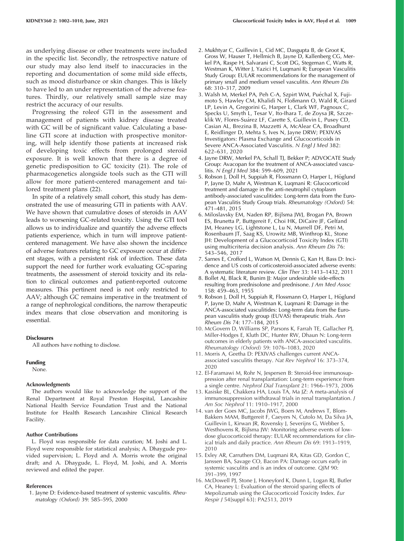<span id="page-7-0"></span>as underlying disease or other treatments were included in the specific list. Secondly, the retrospective nature of our study may also lend itself to inaccuracies in the reporting and documentation of some mild side effects, such as mood disturbance or skin changes. This is likely to have led to an under representation of the adverse features. Thirdly, our relatively small sample size may restrict the accuracy of our results.

Progressing the roleof GTI in the assessment and management of patients with kidney disease treated with GC will be of significant value. Calculating a baseline GTI score at induction with prospective monitoring, will help identify those patients at increased risk of developing toxic effects from prolonged steroid exposure. It is well known that there [is](#page-8-0) a degree of genetic predisposition to GC toxicity (21). The role of pharmacogenetics alongside tools such as the GTI will allow for more patie[nt-c](#page-8-0)entered management and tailored treatment plans (22).

In spite of a relatively small cohort, this study has demonstrated the use of measuring GTI in patients with AAV. We have shown that cumulative doses of steroids in AAV leads to worsening GC-related toxicity. Using the GTI tool allows us to individualize and quantify the adverse effects patients experience, which in turn will improve patientcentered management. We have also shown the incidence of adverse features relating to GC exposure occur at different stages, with a persistent risk of infection. These data support the need for further work evaluating GC-sparing treatments, the assessment of steroid toxicity and its relation to clinical outcomes and patient-reported outcome measures. This pertinent need is not only restricted to AAV; although GC remains imperative in the treatment of a range of nephrological conditions, the narrow therapeutic index means that close observation and monitoring is essential.

#### **Disclosures**

All authors have nothing to disclose.

#### Funding

None.

#### Acknowledgments

The authors would like to acknowledge the support of the Renal Department at Royal Preston Hospital, Lancashire National Health Service Foundation Trust and the National Institute for Health Research Lancashire Clinical Research Facility.

#### Author Contributions

L. Floyd was responsible for data curation; M. Joshi and L. Floyd were responsible for statistical analysis; A. Dhaygude provided supervision; L. Floyd and A. Morris wrote the original draft; and A. Dhaygude, L. Floyd, M. Joshi, and A. Morris reviewed and edited the paper.

#### References

1. Jayne D: Evidence-based treatment of systemic vasculitis. Rheumatology (Oxford) 39: 585–595, 2000

- 2. Mukhtyar C, Guillevin L, Cid MC, Dasgupta B, de Groot K, Gross W, Hauser T, Hellmich B, Jayne D, Kallenberg CG, Merkel PA, Raspe H, Salvarani C, Scott DG, Stegeman C, Watts R, Westman K, Witter J, Yazici H, Luqmani R; European Vasculitis Study Group: EULAR recommendations for the management of primary small and medium vessel vasculitis. Ann Rheum Dis 68: 310–317, 2009
- 3. Walsh M, Merkel PA, Peh C-A, Szpirt WM, Puéchal X, Fujimoto S, Hawley CM, Khalidi N, Floßmann O, Wald R, Girard LP, Levin A, Gregorini G, Harper L, Clark WF, Pagnoux C, Specks U, Smyth L, Tesar V, Ito-Ihara T, de Zoysa JR, Szczeklik W, Flores-Suárez LF, Carette S, Guillevin L, Pusey CD, Casian AL, Brezina B, Mazzetti A, McAlear CA, Broadhurst E, Reidlinger D, Mehta S, Ives N, Jayne DRW; PEXIVAS Investigators: Plasma Exchange and Glucocorticoids in Severe ANCA-Associated Vasculitis. N Engl J Med 382: 622–631, 2020
- 4. Jayne DRW, Merkel PA, Schall TJ, Bekker P; ADVOCATE Study Group: Avacopan for the treatment of ANCA-associated vasculitis. N Engl J Med 384: 599–609, 2021
- 5. Robson J, Doll H, Suppiah R, Flossmann O, Harper L, Höglund P, Jayne D, Mahr A, Westman K, Luqmani R: Glucocorticoid treatment and damage in the anti-neutrophil cytoplasm antibody-associated vasculitides: Long-term data from the European Vasculitis Study Group trials. Rheumatology (Oxford) 54: 471–481, 2015
- 6. Miloslavsky EM, Naden RP, Bijlsma JWJ, Brogan PA, Brown ES, Brunetta P, Buttgereit F, Choi HK, DiCaire JF, Gelfand JM, Heaney LG, Lightstone L, Lu N, Murrell DF, Petri M, Rosenbaum JT, Saag KS, Urowitz MB, Winthrop KL, Stone JH: Development of a Glucocorticoid Toxicity Index (GTI) using multicriteria decision analysis. Ann Rheum Dis 76: 543–546, 2017
- 7. Sarnes E, Crofford L, Watson M, Dennis G, Kan H, Bass D: Incidence and US costs of corticosteroid-associated adverse events: A systematic literature review. Clin Ther 33: 1413–1432, 2011
- 8. Bollet AJ, Black R, Bunim JJ: Major undesirable side-effects resulting from prednisolone and prednisone. J Am Med Assoc 158: 459–463, 1955
- 9. Robson J, Doll H, Suppiah R, Flossmann O, Harper L, Höglund P, Jayne D, Mahr A, Westman K, Luqmani R: Damage in the ANCA-associated vasculitides: Long-term data from the European vasculitis study group (EUVAS) therapeutic trials. Ann Rheum Dis 74: 177–184, 2015
- 10. McGovern D, Williams SP, Parsons K, Farrah TE, Gallacher PJ, Miller-Hodges E, Kluth DC, Hunter RW, Dhaun N: Long-term outcomes in elderly patients with ANCA-associated vasculitis. Rheumatology (Oxford) 59: 1076–1083, 2020
- 11. Morris A, Geetha D: PEXIVAS challenges current ANCAassociated vasculitis therapy. Nat Rev Nephrol 16: 373–374, 2020
- 12. El-Faramawi M, Rohr N, Jespersen B: Steroid-free immunosuppression after renal transplantation: Long-term experience from a single centre. Nephrol Dial Transplant 21: 1966–1973, 2006
- 13. Kasiske BL, Chakkera HA, Louis TA, Ma JZ: A meta-analysis of immunosuppression withdrawal trials in renal transplantation. J Am Soc Nephrol 11: 1910–1917, 2000
- 14. van der Goes MC, Jacobs JWG, Boers M, Andrews T, Blom-Bakkers MAM, Buttgereit F, Caeyers N, Cutolo M, Da Silva JA, Guillevin L, Kirwan JR, Rovensky J, Severijns G, Webber S, Westhovens R, Bijlsma JW: Monitoring adverse events of lowdose glucocorticoid therapy: EULAR recommendations for clinical trials and daily practice. Ann Rheum Dis 69: 1913–1919, 2010
- 15. Exley AR, Carruthers DM, Luqmani RA, Kitas GD, Gordon C, Janssen BA, Savage CO, Bacon PA: Damage occurs early in systemic vasculitis and is an index of outcome. QJM 90: 391–399, 1997
- 16. McDowell PJ, Stone J, Honeyford K, Dunn L, Logan RJ, Butler CA, Heaney L: Evaluation of the steroid sparing effects of Mepolizumab using the Glucocorticoid Toxicity Index. Eur Respir J 54[suppl 63]: PA2513, 2019